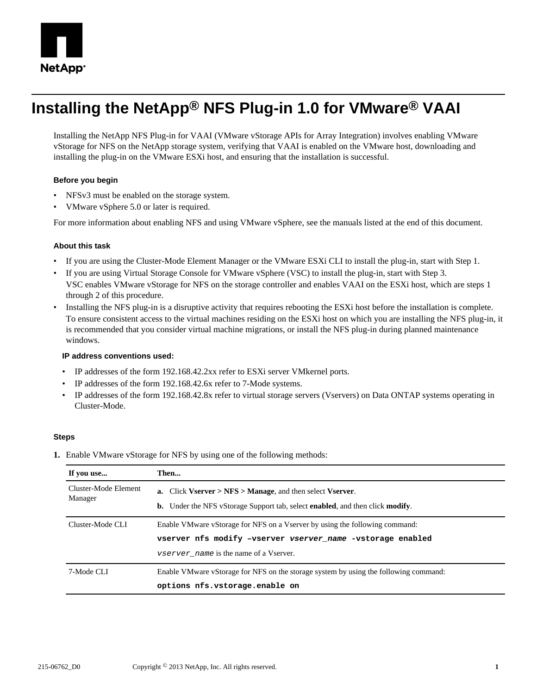

# **Installing the NetApp® NFS Plug-in 1.0 for VMware® VAAI**

Installing the NetApp NFS Plug-in for VAAI (VMware vStorage APIs for Array Integration) involves enabling VMware vStorage for NFS on the NetApp storage system, verifying that VAAI is enabled on the VMware host, downloading and installing the plug-in on the VMware ESXi host, and ensuring that the installation is successful.

### **Before you begin**

- NFSv3 must be enabled on the storage system.
- VMware vSphere 5.0 or later is required.

For more information about enabling NFS and using VMware vSphere, see the manuals listed at the end of this document.

#### **About this task**

- If you are using the Cluster-Mode Element Manager or the VMware ESXi CLI to install the plug-in, start with Step 1.
- If you are using Virtual Storage Console for VMware vSphere (VSC) to install the plug-in, start with Step 3. VSC enables VMware vStorage for NFS on the storage controller and enables VAAI on the ESXi host, which are steps 1 through 2 of this procedure.
- Installing the NFS plug-in is a disruptive activity that requires rebooting the ESXi host before the installation is complete. To ensure consistent access to the virtual machines residing on the ESXi host on which you are installing the NFS plug-in, it is recommended that you consider virtual machine migrations, or install the NFS plug-in during planned maintenance windows.

#### **IP address conventions used:**

- IP addresses of the form 192.168.42.2xx refer to ESXi server VMkernel ports.
- IP addresses of the form 192.168.42.6x refer to 7-Mode systems.
- IP addresses of the form 192.168.42.8x refer to virtual storage servers (Vservers) on Data ONTAP systems operating in Cluster-Mode.

#### **Steps**

**1.** Enable VMware vStorage for NFS by using one of the following methods:

| If you use           | Then                                                                                                 |
|----------------------|------------------------------------------------------------------------------------------------------|
| Cluster-Mode Element | a. Click Vserver $>$ NFS $>$ Manage, and then select Vserver.                                        |
| Manager              | <b>b.</b> Under the NFS vStorage Support tab, select <b>enabled</b> , and then click <b>modify</b> . |
| Cluster-Mode CLI     | Enable VM ware vStorage for NFS on a V server by using the following command:                        |
|                      | vserver nfs modify -vserver vserver name -vstorage enabled                                           |
|                      | <i>vserver name</i> is the name of a Vserver.                                                        |
| 7-Mode CLI           | Enable VMware vStorage for NFS on the storage system by using the following command:                 |
|                      | options nfs.vstorage.enable on                                                                       |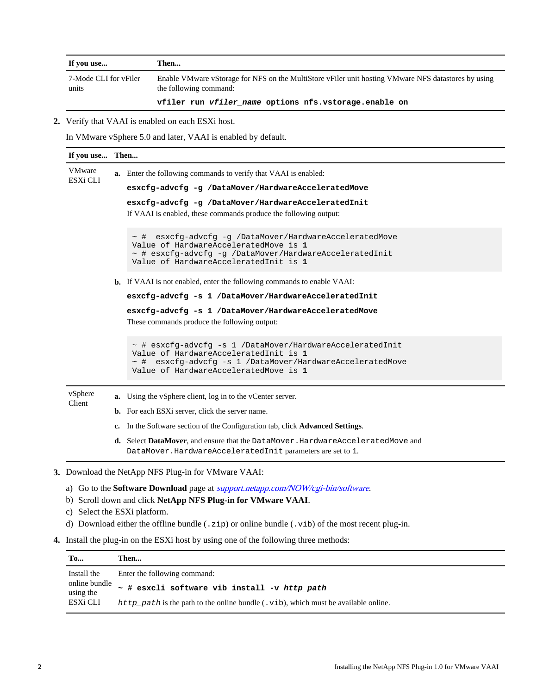| If you use                     | Then                                                                                                                          |
|--------------------------------|-------------------------------------------------------------------------------------------------------------------------------|
| 7-Mode CLI for vFiler<br>units | Enable VMware vStorage for NFS on the MultiStore vFiler unit hosting VMware NFS datastores by using<br>the following command: |
|                                | vfiler run vfiler name options nfs.vstorage.enable on                                                                         |

**2.** Verify that VAAI is enabled on each ESXi host.

In VMware vSphere 5.0 and later, VAAI is enabled by default.

| If you use Then                                                                                      |                              |                                                                                                                                                                                                                    |  |
|------------------------------------------------------------------------------------------------------|------------------------------|--------------------------------------------------------------------------------------------------------------------------------------------------------------------------------------------------------------------|--|
| VMware<br>ESXi CLI                                                                                   |                              | a. Enter the following commands to verify that VAAI is enabled:                                                                                                                                                    |  |
|                                                                                                      |                              | esxcfg-advcfg -g /DataMover/HardwareAcceleratedMove                                                                                                                                                                |  |
|                                                                                                      |                              | esxcfg-advcfg -g /DataMover/HardwareAcceleratedInit<br>If VAAI is enabled, these commands produce the following output:                                                                                            |  |
|                                                                                                      |                              | esxcfq-advcfq -q /DataMover/HardwareAcceleratedMove<br>$\sim$ #<br>Value of HardwareAcceleratedMove is 1<br>~ # esxcfq-advcfq -q /DataMover/HardwareAcceleratedInit<br>Value of HardwareAcceleratedInit is 1       |  |
|                                                                                                      |                              | <b>b.</b> If VAAI is not enabled, enter the following commands to enable VAAI:                                                                                                                                     |  |
|                                                                                                      |                              | esxcfg-advcfg -s 1 /DataMover/HardwareAcceleratedInit                                                                                                                                                              |  |
|                                                                                                      |                              | esxcfg-advcfg -s 1 /DataMover/HardwareAcceleratedMove<br>These commands produce the following output:                                                                                                              |  |
|                                                                                                      |                              | $\sim$ # esxcfq-advcfq -s 1 /DataMover/HardwareAcceleratedInit<br>Value of HardwareAcceleratedInit is 1<br>$\sim$ # esxcfq-advcfq -s 1 /DataMover/HardwareAcceleratedMove<br>Value of HardwareAcceleratedMove is 1 |  |
| vSphere<br>Client                                                                                    | a.                           | Using the vSphere client, log in to the vCenter server.                                                                                                                                                            |  |
|                                                                                                      |                              | <b>b.</b> For each ESXi server, click the server name.                                                                                                                                                             |  |
|                                                                                                      |                              | c. In the Software section of the Configuration tab, click Advanced Settings.                                                                                                                                      |  |
|                                                                                                      |                              | d. Select DataMover, and ensure that the DataMover. HardwareAcceleratedMove and<br>DataMover. HardwareAcceleratedInit parameters are set to 1.                                                                     |  |
|                                                                                                      |                              | 3. Download the NetApp NFS Plug-in for VMware VAAI:                                                                                                                                                                |  |
|                                                                                                      |                              | a) Go to the <b>Software Download</b> page at <i>support.netapp.com/NOW/cgi-bin/software.</i>                                                                                                                      |  |
|                                                                                                      |                              | b) Scroll down and click NetApp NFS Plug-in for VMware VAAI.                                                                                                                                                       |  |
|                                                                                                      | c) Select the ESXi platform. |                                                                                                                                                                                                                    |  |
| d) Download either the offline bundle $(.zip)$ or online bundle $(.vib)$ of the most recent plug-in. |                              |                                                                                                                                                                                                                    |  |

- 
- **4.** Install the plug-in on the ESXi host by using one of the following three methods:

| To                                     | Then                                                                                 |
|----------------------------------------|--------------------------------------------------------------------------------------|
| Install the                            | Enter the following command:                                                         |
| online bundle<br>using the<br>ESXi CLI | ~ # esxcli software vib install -v http_path                                         |
|                                        | http path is the path to the online bundle $(xib)$ , which must be available online. |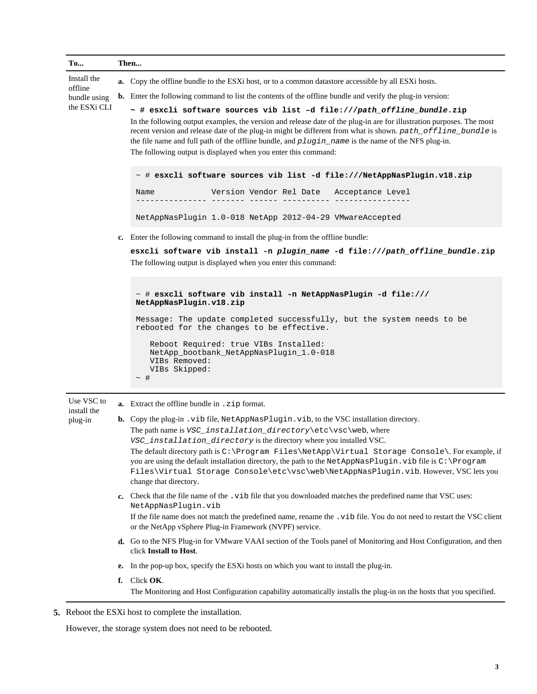| <b>To</b>                                              |          | Then                                                                                                                                                                                                                                                                                                                                                                                                                                                                                                                                                                                                                                                                                                                                                                                                                                                           |
|--------------------------------------------------------|----------|----------------------------------------------------------------------------------------------------------------------------------------------------------------------------------------------------------------------------------------------------------------------------------------------------------------------------------------------------------------------------------------------------------------------------------------------------------------------------------------------------------------------------------------------------------------------------------------------------------------------------------------------------------------------------------------------------------------------------------------------------------------------------------------------------------------------------------------------------------------|
| Install the<br>offline<br>bundle using<br>the ESXi CLI |          | <b>a.</b> Copy the offline bundle to the ESXi host, or to a common datastore accessible by all ESXi hosts.<br><b>b.</b> Enter the following command to list the contents of the offline bundle and verify the plug-in version:<br>~ # esxcli software sources vib list -d file:///path_offline_bundle.zip<br>In the following output examples, the version and release date of the plug-in are for illustration purposes. The most<br>recent version and release date of the plug-in might be different from what is shown. path_offline_bundle is<br>the file name and full path of the offline bundle, and plugin_name is the name of the NFS plug-in.<br>The following output is displayed when you enter this command:<br>$\sim$ # esxcli software sources vib list -d file:///NetAppNasPlugin.v18.zip<br>Version Vendor Rel Date Acceptance Level<br>Name |
|                                                        |          | NetAppNasPlugin 1.0-018 NetApp 2012-04-29 VMwareAccepted<br>c. Enter the following command to install the plug-in from the offline bundle:<br>esxcli software vib install -n plugin name -d file:///path offline bundle.zip<br>The following output is displayed when you enter this command:                                                                                                                                                                                                                                                                                                                                                                                                                                                                                                                                                                  |
|                                                        |          | $\sim$ # esxcli software vib install -n NetAppNasPlugin -d file:///<br>NetAppNasPlugin.v18.zip<br>Message: The update completed successfully, but the system needs to be<br>rebooted for the changes to be effective.<br>Reboot Required: true VIBs Installed:<br>NetApp_bootbank_NetAppNasPlugin_1.0-018<br>VIBs Removed:<br>VIBs Skipped:<br>$\sim$ #                                                                                                                                                                                                                                                                                                                                                                                                                                                                                                        |
| Use VSC to<br>install the<br>plug-in                   |          | <b>a.</b> Extract the offline bundle in . zip format.<br><b>b.</b> Copy the plug-in vib file, NetAppNasPlugin. vib, to the VSC installation directory.<br>The path name is $VSC\_installation\_directory \text{etc} \text{vsc} \text{, where}$<br>VSC_installation_directory is the directory where you installed VSC.<br>The default directory path is C:\Program Files\NetApp\Virtual Storage Console\. For example, if<br>you are using the default installation directory, the path to the NetAppNasPlugin. vib file is C:\Program<br>Files\Virtual Storage Console\etc\vsc\web\NetAppNasPlugin.vib.However, VSC lets you<br>change that directory.<br>c. Check that the file name of the . vib file that you downloaded matches the predefined name that VSC uses:<br>NetAppNasPlugin.vib                                                                 |
|                                                        |          | If the file name does not match the predefined name, rename the .vib file. You do not need to restart the VSC client<br>or the NetApp vSphere Plug-in Framework (NVPF) service.<br>d. Go to the NFS Plug-in for VMware VAAI section of the Tools panel of Monitoring and Host Configuration, and then<br>click Install to Host.                                                                                                                                                                                                                                                                                                                                                                                                                                                                                                                                |
|                                                        | e.<br>f. | In the pop-up box, specify the ESXi hosts on which you want to install the plug-in.<br>Click OK.<br>The Monitoring and Host Configuration capability automatically installs the plug-in on the hosts that you specified.                                                                                                                                                                                                                                                                                                                                                                                                                                                                                                                                                                                                                                       |

**<sup>5.</sup>** Reboot the ESXi host to complete the installation.

However, the storage system does not need to be rebooted.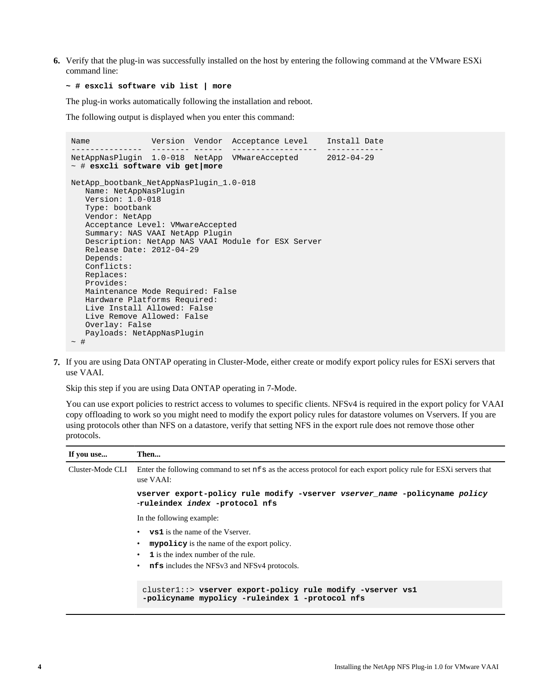**6.** Verify that the plug-in was successfully installed on the host by entering the following command at the VMware ESXi command line:

#### **~ # esxcli software vib list | more**

The plug-in works automatically following the installation and reboot.

The following output is displayed when you enter this command:

```
Name Version Vendor Acceptance Level Install Date
--------------- -------- ------ ------------------ ------------
NetAppNasPlugin 1.0-018 NetApp VMwareAccepted 2012-04-29
~ # esxcli software vib get|more
NetApp_bootbank_NetAppNasPlugin_1.0-018
   Name: NetAppNasPlugin
    Version: 1.0-018
    Type: bootbank
    Vendor: NetApp
   Acceptance Level: VMwareAccepted
    Summary: NAS VAAI NetApp Plugin
    Description: NetApp NAS VAAI Module for ESX Server
    Release Date: 2012-04-29
    Depends:
    Conflicts:
    Replaces:
    Provides:
    Maintenance Mode Required: False
    Hardware Platforms Required:
   Live Install Allowed: False
    Live Remove Allowed: False
    Overlay: False
   Payloads: NetAppNasPlugin
~\sim~#
```
**7.** If you are using Data ONTAP operating in Cluster-Mode, either create or modify export policy rules for ESXi servers that use VAAI.

Skip this step if you are using Data ONTAP operating in 7-Mode.

You can use export policies to restrict access to volumes to specific clients. NFSv4 is required in the export policy for VAAI copy offloading to work so you might need to modify the export policy rules for datastore volumes on Vservers. If you are using protocols other than NFS on a datastore, verify that setting NFS in the export rule does not remove those other protocols.

| If you use       | Then                                                                                                                                                                                                     |
|------------------|----------------------------------------------------------------------------------------------------------------------------------------------------------------------------------------------------------|
| Cluster-Mode CLI | Enter the following command to set nfs as the access protocol for each export policy rule for ESXi servers that<br>use VAAI:                                                                             |
|                  | vserver export-policy rule modify -vserver vserver name -policyname policy<br>-ruleindex index -protocol nfs                                                                                             |
|                  | In the following example:                                                                                                                                                                                |
|                  | • $\mathbf{vs1}$ is the name of the Vserver.<br><b>mypolicy</b> is the name of the export policy.<br>1 is the index number of the rule.<br>$\bullet$<br>nfs includes the NFSv3 and NFSv4 protocols.<br>٠ |
|                  | cluster1::> vserver export-policy rule modify -vserver vs1<br>-policyname mypolicy -ruleindex 1 -protocol nfs                                                                                            |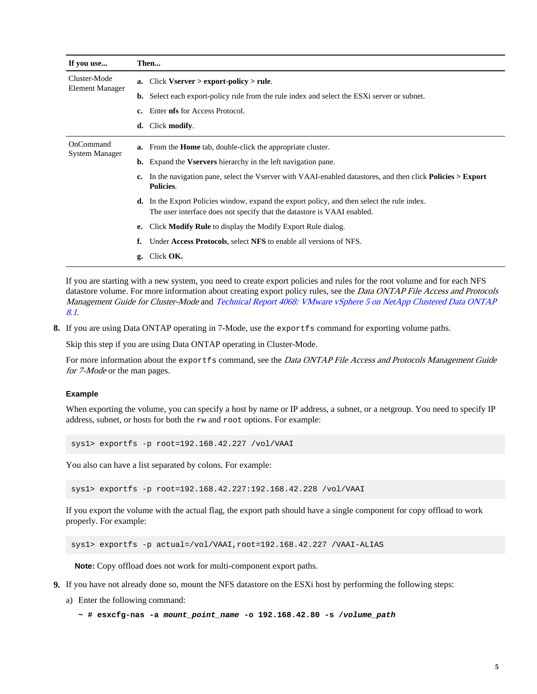| If you use                             |    | Then                                                                                                                                                                          |
|----------------------------------------|----|-------------------------------------------------------------------------------------------------------------------------------------------------------------------------------|
| Cluster-Mode<br><b>Element Manager</b> | a. | $Click Vserver > export-policy > rule.$                                                                                                                                       |
|                                        | b. | Select each export-policy rule from the rule index and select the ESX server or subnet.                                                                                       |
|                                        | c. | Enter <b>nfs</b> for Access Protocol.                                                                                                                                         |
|                                        | d. | Click modify.                                                                                                                                                                 |
| OnCommand<br><b>System Manager</b>     |    | <b>a.</b> From the <b>Home</b> tab, double-click the appropriate cluster.                                                                                                     |
|                                        |    | <b>b.</b> Expand the <b>Vservers</b> hierarchy in the left navigation pane.                                                                                                   |
|                                        | c. | In the navigation pane, select the Vserver with VAAI-enabled datastores, and then click <b>Policies &gt; Export</b><br>Policies.                                              |
|                                        |    | <b>d.</b> In the Export Policies window, expand the export policy, and then select the rule index.<br>The user interface does not specify that the datastore is VAAI enabled. |
|                                        | е. | Click <b>Modify Rule</b> to display the Modify Export Rule dialog.                                                                                                            |
|                                        | f. | Under Access Protocols, select NFS to enable all versions of NFS.                                                                                                             |
|                                        | g. | Click OK.                                                                                                                                                                     |

If you are starting with a new system, you need to create export policies and rules for the root volume and for each NFS datastore volume. For more information about creating export policy rules, see the Data ONTAP File Access and Protocols Management Guide for Cluster-Mode and [Technical Report 4068: VMware vSphere 5 on NetApp Clustered Data ONTAP](http://www.netapp.com/us/media/tr-4068.pdf) [8.1](http://www.netapp.com/us/media/tr-4068.pdf).

**8.** If you are using Data ONTAP operating in 7-Mode, use the exportfs command for exporting volume paths.

Skip this step if you are using Data ONTAP operating in Cluster-Mode.

For more information about the export fs command, see the Data ONTAP File Access and Protocols Management Guide for 7-Mode or the man pages.

#### **Example**

When exporting the volume, you can specify a host by name or IP address, a subnet, or a netgroup. You need to specify IP address, subnet, or hosts for both the rw and root options. For example:

sys1> exportfs -p root=192.168.42.227 /vol/VAAI

You also can have a list separated by colons. For example:

sys1> exportfs -p root=192.168.42.227:192.168.42.228 /vol/VAAI

If you export the volume with the actual flag, the export path should have a single component for copy offload to work properly. For example:

sys1> exportfs -p actual=/vol/VAAI,root=192.168.42.227 /VAAI-ALIAS

**Note:** Copy offload does not work for multi-component export paths.

- **9.** If you have not already done so, mount the NFS datastore on the ESXi host by performing the following steps:
	- a) Enter the following command:
		- **~ # esxcfg-nas -a mount\_point\_name -o 192.168.42.80 -s /volume\_path**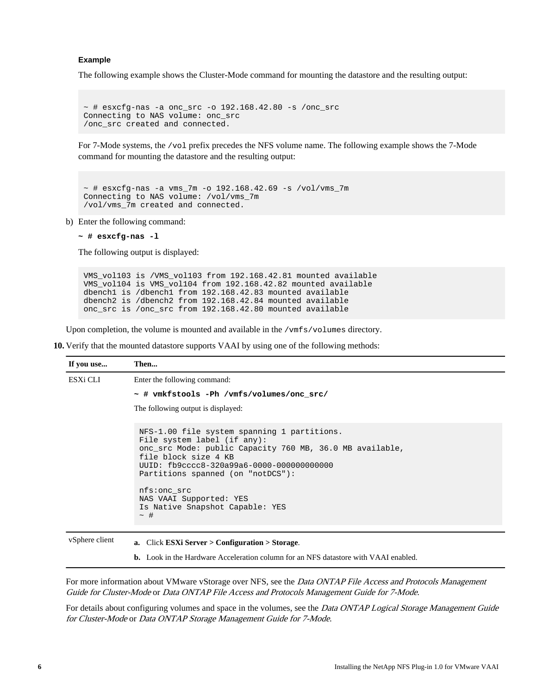#### **Example**

The following example shows the Cluster-Mode command for mounting the datastore and the resulting output:

```
~\sim~\#~ esxcfg-nas -a onc_src -o 192.168.42.80 -s /onc_src
Connecting to NAS volume: onc_src
/onc_src created and connected.
```
For 7-Mode systems, the /vol prefix precedes the NFS volume name. The following example shows the 7-Mode command for mounting the datastore and the resulting output:

```
~\sim~\#~ esxcfg-nas -a vms_7m -o 192.168.42.69 -s /vol/vms_7m
Connecting to NAS volume: /vol/vms_7m
/vol/vms_7m created and connected.
```
b) Enter the following command:

```
~ # esxcfg-nas -l
```
The following output is displayed:

VMS\_vol103 is /VMS\_vol103 from 192.168.42.81 mounted available VMS\_vol104 is VMS\_vol104 from 192.168.42.82 mounted available dbench1 is /dbench1 from 192.168.42.83 mounted available dbench2 is /dbench2 from 192.168.42.84 mounted available onc\_src is /onc\_src from 192.168.42.80 mounted available

Upon completion, the volume is mounted and available in the /vmfs/volumes directory.

**10.** Verify that the mounted datastore supports VAAI by using one of the following methods:

| If you use     | Then                                                                                                                                                                                                                                                                                                                                      |
|----------------|-------------------------------------------------------------------------------------------------------------------------------------------------------------------------------------------------------------------------------------------------------------------------------------------------------------------------------------------|
| ESXi CLI       | Enter the following command:                                                                                                                                                                                                                                                                                                              |
|                | - # vmkfstools -Ph /vmfs/volumes/onc src/                                                                                                                                                                                                                                                                                                 |
|                | The following output is displayed:                                                                                                                                                                                                                                                                                                        |
|                | NFS-1.00 file system spanning 1 partitions.<br>File system label (if any):<br>onc src Mode: public Capacity 760 MB, 36.0 MB available,<br>file block size 4 KB<br>UUID: fb9cccc8-320a99a6-0000-000000000000<br>Partitions spanned (on "notDCS"):<br>nfs:onc src<br>NAS VAAI Supported: YES<br>Is Native Snapshot Capable: YES<br>$\sim$ # |
| vSphere client | a. Click ESXi Server $>$ Configuration $>$ Storage.                                                                                                                                                                                                                                                                                       |

For more information about VMware vStorage over NFS, see the Data ONTAP File Access and Protocols Management

**b.** Look in the Hardware Acceleration column for an NFS datastore with VAAI enabled.

Guide for Cluster-Mode or Data ONTAP File Access and Protocols Management Guide for 7-Mode.

For details about configuring volumes and space in the volumes, see the Data ONTAP Logical Storage Management Guide for Cluster-Mode or Data ONTAP Storage Management Guide for 7-Mode.